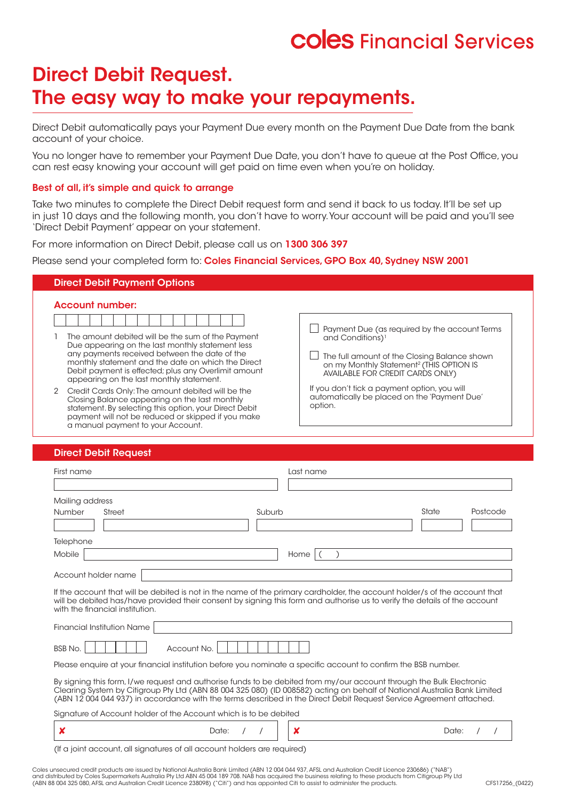# **COIES** Financial Services

# Direct Debit Request. The easy way to make your repayments.

Direct Debit automatically pays your Payment Due every month on the Payment Due Date from the bank account of your choice.

You no longer have to remember your Payment Due Date, you don't have to queue at the Post Office, you can rest easy knowing your account will get paid on time even when you're on holiday.

# Best of all, it's simple and quick to arrange

Take two minutes to complete the Direct Debit request form and send it back to us today. It'll be set up in just 10 days and the following month, you don't have to worry. Your account will be paid and you'll see 'Direct Debit Payment' appear on your statement.

For more information on Direct Debit, please call us on 1300 306 397

Please send your completed form to: Coles Financial Services, GPO Box 40, Sydney NSW 2001

| <b>Direct Debit Payment Options</b>                                                                                                                                                                                                                                                                              |                                                                                                                                                                                                                                  |
|------------------------------------------------------------------------------------------------------------------------------------------------------------------------------------------------------------------------------------------------------------------------------------------------------------------|----------------------------------------------------------------------------------------------------------------------------------------------------------------------------------------------------------------------------------|
| <b>Account number:</b>                                                                                                                                                                                                                                                                                           |                                                                                                                                                                                                                                  |
| The amount debited will be the sum of the Payment<br>Due appearing on the last monthly statement less<br>any payments received between the date of the<br>monthly statement and the date on which the Direct<br>Debit payment is effected; plus any Overlimit amount<br>appearing on the last monthly statement. | Payment Due (as required by the account Terms<br>and Conditions) <sup>1</sup><br>The full amount of the Closing Balance shown<br>on my Monthly Statement <sup>2</sup> (THIS OPTION IS<br><b>AVAILABLE FOR CREDIT CARDS ONLY)</b> |
| Credit Cards Only: The amount debited will be the<br>Closing Balance appearing on the last monthly<br>statement. By selecting this option, your Direct Debit<br>payment will not be reduced or skipped if you make                                                                                               | If you don't tick a payment option, you will<br>automatically be placed on the 'Payment Due'<br>option.                                                                                                                          |

# Direct Debit Request

a manual payment to your Account.

| First name                                                                                                                                                                                                                                                                                                                                                            |        | Last name |       |          |  |
|-----------------------------------------------------------------------------------------------------------------------------------------------------------------------------------------------------------------------------------------------------------------------------------------------------------------------------------------------------------------------|--------|-----------|-------|----------|--|
| Mailing address                                                                                                                                                                                                                                                                                                                                                       |        |           |       |          |  |
| <b>Number</b><br>Street                                                                                                                                                                                                                                                                                                                                               | Suburb |           | State | Postcode |  |
| Telephone                                                                                                                                                                                                                                                                                                                                                             |        |           |       |          |  |
| Mobile<br>Account holder name                                                                                                                                                                                                                                                                                                                                         |        | Home      |       |          |  |
| If the account that will be debited is not in the name of the primary cardholder, the account holder/s of the account that<br>will be debited has/have provided their consent by signing this form and authorise us to verify the details of the account<br>with the financial institution.                                                                           |        |           |       |          |  |
| <b>Financial Institution Name</b>                                                                                                                                                                                                                                                                                                                                     |        |           |       |          |  |
| <b>BSB No.</b><br>Account No.                                                                                                                                                                                                                                                                                                                                         |        |           |       |          |  |
| Please enquire at your financial institution before you nominate a specific account to confirm the BSB number.                                                                                                                                                                                                                                                        |        |           |       |          |  |
| By signing this form, I/we request and authorise funds to be debited from my/our account through the Bulk Electronic<br>Clearing System by Citigroup Pty Ltd (ABN 88 004 325 080) (ID 008582) acting on behalf of National Australia Bank Limited<br>(ABN 12004044937) in accordance with the terms described in the Direct Debit Request Service Agreement attached. |        |           |       |          |  |
| Signature of Account holder of the Account which is to be debited                                                                                                                                                                                                                                                                                                     |        |           |       |          |  |
| x<br>Date:                                                                                                                                                                                                                                                                                                                                                            |        | x         | Date: |          |  |

(If a joint account, all signatures of all account holders are required)

Coles unsecured credit products are issued by National Australia Bank Limited (ABN 12 004 044 937, AFSL and Australian Credit Licence 230686) ("NAB")<br>and distributed by Coles Supermarkets Australia Pty Ltd ABN 45 004 189 7 (ABN 88 004 325 080, AFSL and Australian Credit Licence 238098) ("Citi") and has appointed Citi to assist to administer the products.